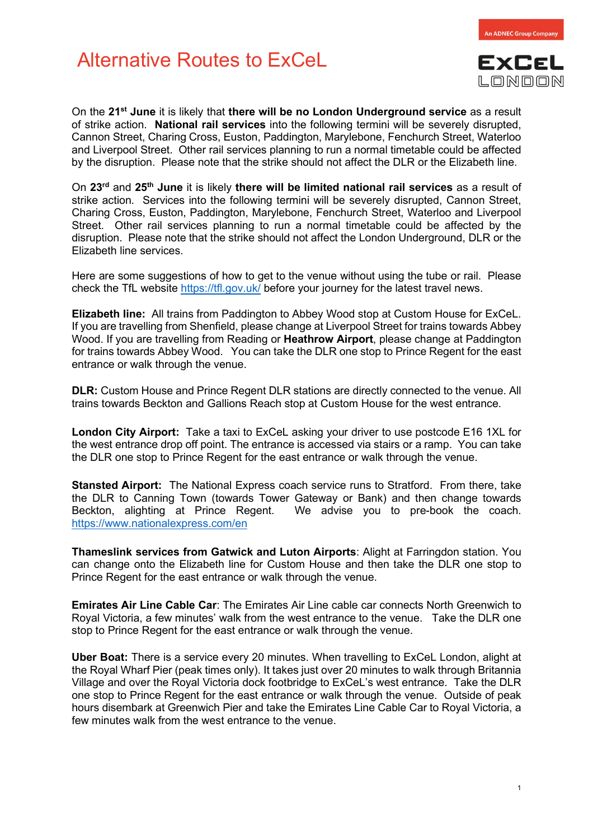## Alternative Routes to ExCeL



**An ADNEC Group Compan** 

On the **21st June** it is likely that **there will be no London Underground service** as a result of strike action. **National rail services** into the following termini will be severely disrupted, Cannon Street, Charing Cross, Euston, Paddington, Marylebone, Fenchurch Street, Waterloo and Liverpool Street. Other rail services planning to run a normal timetable could be affected by the disruption. Please note that the strike should not affect the DLR or the Elizabeth line.

On **23rd** and **25th June** it is likely **there will be limited national rail services** as a result of strike action. Services into the following termini will be severely disrupted, Cannon Street, Charing Cross, Euston, Paddington, Marylebone, Fenchurch Street, Waterloo and Liverpool Street. Other rail services planning to run a normal timetable could be affected by the disruption. Please note that the strike should not affect the London Underground, DLR or the Elizabeth line services.

Here are some suggestions of how to get to the venue without using the tube or rail. Please check the TfL website <https://tfl.gov.uk/> before your journey for the latest travel news.

**Elizabeth line:** All trains from Paddington to Abbey Wood stop at Custom House for ExCeL. If you are travelling from Shenfield, please change at Liverpool Street for trains towards Abbey Wood. If you are travelling from Reading or **Heathrow Airport**, please change at Paddington for trains towards Abbey Wood. You can take the DLR one stop to Prince Regent for the east entrance or walk through the venue.

**DLR:** Custom House and Prince Regent DLR stations are directly connected to the venue. All trains towards Beckton and Gallions Reach stop at Custom House for the west entrance.

**London City Airport:** Take a taxi to ExCeL asking your driver to use postcode E16 1XL for the west entrance drop off point. The entrance is accessed via stairs or a ramp. You can take the DLR one stop to Prince Regent for the east entrance or walk through the venue.

**Stansted Airport:** The National Express coach service runs to Stratford. From there, take the DLR to Canning Town (towards Tower Gateway or Bank) and then change towards Beckton, alighting at Prince Regent. We advise you to pre-book the coach. <https://www.nationalexpress.com/en>

**Thameslink services from Gatwick and Luton Airports**: Alight at Farringdon station. You can change onto the Elizabeth line for Custom House and then take the DLR one stop to Prince Regent for the east entrance or walk through the venue.

**Emirates Air Line Cable Car**: The Emirates Air Line cable car connects North Greenwich to Royal Victoria, a few minutes' walk from the west entrance to the venue. Take the DLR one stop to Prince Regent for the east entrance or walk through the venue.

**Uber Boat:** There is a service every 20 minutes. When travelling to ExCeL London, alight at the Royal Wharf Pier (peak times only). It takes just over 20 minutes to walk through Britannia Village and over the Royal Victoria dock footbridge to ExCeL's west entrance. Take the DLR one stop to Prince Regent for the east entrance or walk through the venue. Outside of peak hours disembark at Greenwich Pier and take the Emirates Line Cable Car to Royal Victoria, a few minutes walk from the west entrance to the venue.